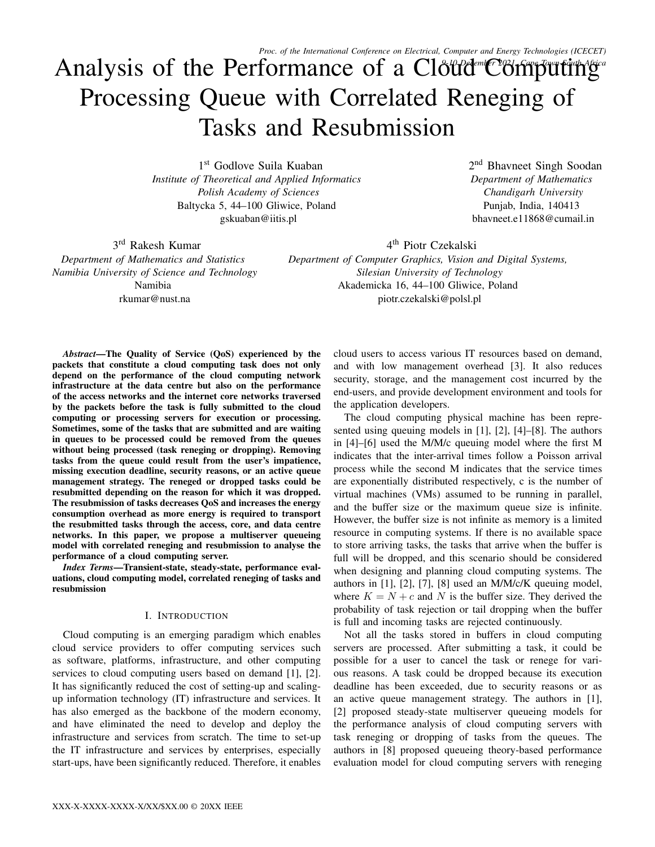# Analysis of the Performance of a Cloud Computing Processing Queue with Correlated Reneging of Tasks and Resubmission

1 st Godlove Suila Kuaban *Institute of Theoretical and Applied Informatics Polish Academy of Sciences* Baltycka 5, 44–100 Gliwice, Poland gskuaban@iitis.pl

2<sup>nd</sup> Bhavneet Singh Soodan *Department of Mathematics Chandigarh University* Punjab, India, 140413 bhavneet.e11868@cumail.in

3<sup>rd</sup> Rakesh Kumar *Department of Mathematics and Statistics Namibia University of Science and Technology* Namibia rkumar@nust.na

4<sup>th</sup> Piotr Czekalski *Department of Computer Graphics, Vision and Digital Systems, Silesian University of Technology* Akademicka 16, 44–100 Gliwice, Poland piotr.czekalski@polsl.pl

*Abstract*—The Quality of Service (QoS) experienced by the packets that constitute a cloud computing task does not only depend on the performance of the cloud computing network infrastructure at the data centre but also on the performance of the access networks and the internet core networks traversed by the packets before the task is fully submitted to the cloud computing or processing servers for execution or processing. Sometimes, some of the tasks that are submitted and are waiting in queues to be processed could be removed from the queues without being processed (task reneging or dropping). Removing tasks from the queue could result from the user's impatience, missing execution deadline, security reasons, or an active queue management strategy. The reneged or dropped tasks could be resubmitted depending on the reason for which it was dropped. The resubmission of tasks decreases QoS and increases the energy consumption overhead as more energy is required to transport the resubmitted tasks through the access, core, and data centre networks. In this paper, we propose a multiserver queueing model with correlated reneging and resubmission to analyse the performance of a cloud computing server.

*Index Terms*—Transient-state, steady-state, performance evaluations, cloud computing model, correlated reneging of tasks and resubmission

## I. INTRODUCTION

Cloud computing is an emerging paradigm which enables cloud service providers to offer computing services such as software, platforms, infrastructure, and other computing services to cloud computing users based on demand [1], [2]. It has significantly reduced the cost of setting-up and scalingup information technology (IT) infrastructure and services. It has also emerged as the backbone of the modern economy, and have eliminated the need to develop and deploy the infrastructure and services from scratch. The time to set-up the IT infrastructure and services by enterprises, especially start-ups, have been significantly reduced. Therefore, it enables

cloud users to access various IT resources based on demand, and with low management overhead [3]. It also reduces security, storage, and the management cost incurred by the end-users, and provide development environment and tools for the application developers.

The cloud computing physical machine has been represented using queuing models in [1], [2], [4]–[8]. The authors in [4]–[6] used the M/M/c queuing model where the first M indicates that the inter-arrival times follow a Poisson arrival process while the second M indicates that the service times are exponentially distributed respectively, c is the number of virtual machines (VMs) assumed to be running in parallel, and the buffer size or the maximum queue size is infinite. However, the buffer size is not infinite as memory is a limited resource in computing systems. If there is no available space to store arriving tasks, the tasks that arrive when the buffer is full will be dropped, and this scenario should be considered when designing and planning cloud computing systems. The authors in [1], [2], [7], [8] used an M/M/c/K queuing model, where  $K = N + c$  and N is the buffer size. They derived the probability of task rejection or tail dropping when the buffer is full and incoming tasks are rejected continuously.

Not all the tasks stored in buffers in cloud computing servers are processed. After submitting a task, it could be possible for a user to cancel the task or renege for various reasons. A task could be dropped because its execution deadline has been exceeded, due to security reasons or as an active queue management strategy. The authors in [1], [2] proposed steady-state multiserver queueing models for the performance analysis of cloud computing servers with task reneging or dropping of tasks from the queues. The authors in [8] proposed queueing theory-based performance evaluation model for cloud computing servers with reneging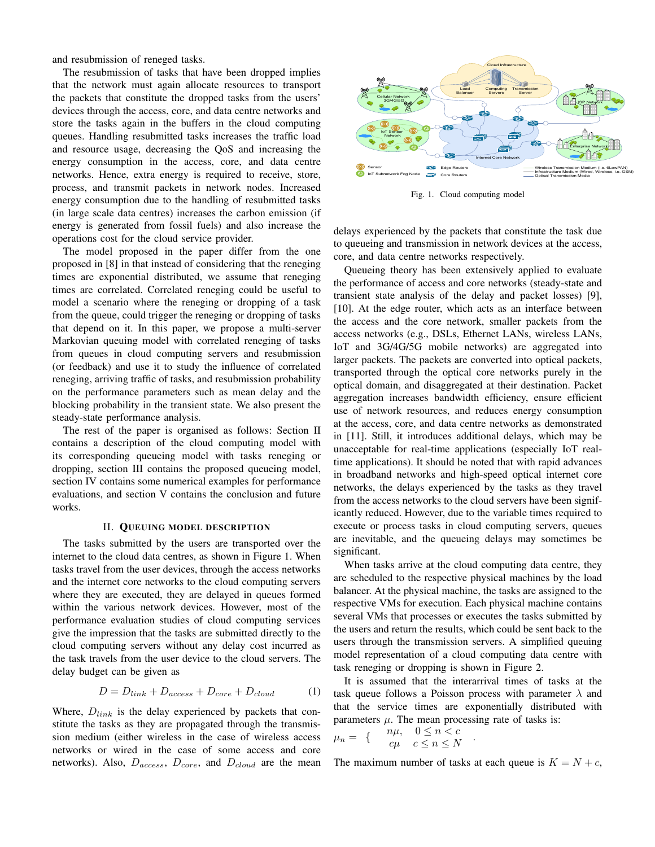and resubmission of reneged tasks.

The resubmission of tasks that have been dropped implies that the network must again allocate resources to transport the packets that constitute the dropped tasks from the users' devices through the access, core, and data centre networks and store the tasks again in the buffers in the cloud computing queues. Handling resubmitted tasks increases the traffic load and resource usage, decreasing the QoS and increasing the energy consumption in the access, core, and data centre networks. Hence, extra energy is required to receive, store, process, and transmit packets in network nodes. Increased energy consumption due to the handling of resubmitted tasks (in large scale data centres) increases the carbon emission (if energy is generated from fossil fuels) and also increase the operations cost for the cloud service provider.

The model proposed in the paper differ from the one proposed in [8] in that instead of considering that the reneging times are exponential distributed, we assume that reneging times are correlated. Correlated reneging could be useful to model a scenario where the reneging or dropping of a task from the queue, could trigger the reneging or dropping of tasks that depend on it. In this paper, we propose a multi-server Markovian queuing model with correlated reneging of tasks from queues in cloud computing servers and resubmission (or feedback) and use it to study the influence of correlated reneging, arriving traffic of tasks, and resubmission probability on the performance parameters such as mean delay and the blocking probability in the transient state. We also present the steady-state performance analysis.

The rest of the paper is organised as follows: Section II contains a description of the cloud computing model with its corresponding queueing model with tasks reneging or dropping, section III contains the proposed queueing model, section IV contains some numerical examples for performance evaluations, and section V contains the conclusion and future works.

### II. QUEUING MODEL DESCRIPTION

The tasks submitted by the users are transported over the internet to the cloud data centres, as shown in Figure 1. When tasks travel from the user devices, through the access networks and the internet core networks to the cloud computing servers where they are executed, they are delayed in queues formed within the various network devices. However, most of the performance evaluation studies of cloud computing services give the impression that the tasks are submitted directly to the cloud computing servers without any delay cost incurred as the task travels from the user device to the cloud servers. The delay budget can be given as

$$
D = D_{link} + D_{access} + D_{core} + D_{cloud}
$$
 (1)

Where,  $D_{link}$  is the delay experienced by packets that constitute the tasks as they are propagated through the transmission medium (either wireless in the case of wireless access networks or wired in the case of some access and core networks). Also,  $D_{access}$ ,  $D_{core}$ , and  $D_{cloud}$  are the mean



Fig. 1. Cloud computing model

delays experienced by the packets that constitute the task due to queueing and transmission in network devices at the access, core, and data centre networks respectively.

Queueing theory has been extensively applied to evaluate the performance of access and core networks (steady-state and transient state analysis of the delay and packet losses) [9], [10]. At the edge router, which acts as an interface between the access and the core network, smaller packets from the access networks (e.g., DSLs, Ethernet LANs, wireless LANs, IoT and 3G/4G/5G mobile networks) are aggregated into larger packets. The packets are converted into optical packets, transported through the optical core networks purely in the optical domain, and disaggregated at their destination. Packet aggregation increases bandwidth efficiency, ensure efficient use of network resources, and reduces energy consumption at the access, core, and data centre networks as demonstrated in [11]. Still, it introduces additional delays, which may be unacceptable for real-time applications (especially IoT realtime applications). It should be noted that with rapid advances in broadband networks and high-speed optical internet core networks, the delays experienced by the tasks as they travel from the access networks to the cloud servers have been significantly reduced. However, due to the variable times required to execute or process tasks in cloud computing servers, queues are inevitable, and the queueing delays may sometimes be significant.

When tasks arrive at the cloud computing data centre, they are scheduled to the respective physical machines by the load balancer. At the physical machine, the tasks are assigned to the respective VMs for execution. Each physical machine contains several VMs that processes or executes the tasks submitted by the users and return the results, which could be sent back to the users through the transmission servers. A simplified queuing model representation of a cloud computing data centre with task reneging or dropping is shown in Figure 2.

It is assumed that the interarrival times of tasks at the task queue follows a Poisson process with parameter  $\lambda$  and that the service times are exponentially distributed with parameters  $\mu$ . The mean processing rate of tasks is:

$$
\mu_n = \n\begin{cases}\n n\mu, & 0 \le n < c \\
 c\mu & c \le n \le N\n\end{cases}
$$

The maximum number of tasks at each queue is  $K = N + c$ ,

.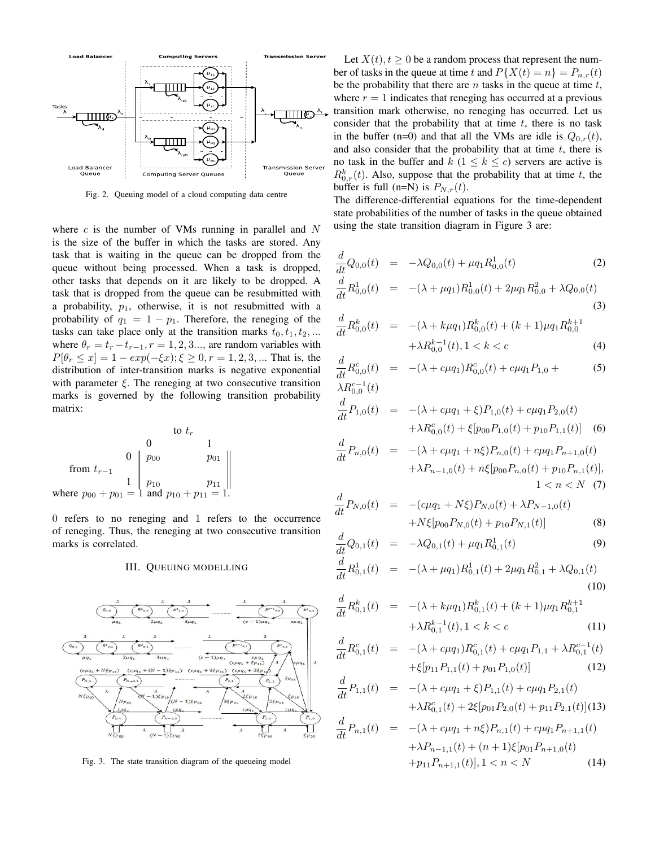

Fig. 2. Queuing model of a cloud computing data centre

where  $c$  is the number of VMs running in parallel and  $N$ is the size of the buffer in which the tasks are stored. Any task that is waiting in the queue can be dropped from the queue without being processed. When a task is dropped, other tasks that depends on it are likely to be dropped. A task that is dropped from the queue can be resubmitted with a probability,  $p_1$ , otherwise, it is not resubmitted with a probability of  $q_1 = 1 - p_1$ . Therefore, the reneging of the tasks can take place only at the transition marks  $t_0, t_1, t_2, \ldots$ where  $\theta_r = t_r - t_{r-1}$ ,  $r = 1, 2, 3...$ , are random variables with  $P[\theta_r \le x] = 1 - exp(-\xi x); \xi \ge 0, r = 1, 2, 3, ...$  That is, the distribution of inter-transition marks is negative exponential with parameter  $\xi$ . The reneging at two consecutive transition marks is governed by the following transition probability matrix:

$$
\begin{array}{ccc}\n & \text{to } t_r \\
0 & 1 \\
\text{from } t_{r-1} & 1 & p_{00} \\
\text{where } p_{00} + p_{01} = 1 \text{ and } p_{10} + p_{11} = 1.\n\end{array}
$$

0 refers to no reneging and 1 refers to the occurrence of reneging. Thus, the reneging at two consecutive transition marks is correlated.

#### III. QUEUING MODELLING



Fig. 3. The state transition diagram of the queueing model

Let  $X(t)$ ,  $t \geq 0$  be a random process that represent the number of tasks in the queue at time t and  $P{X(t) = n} = P_{n,r}(t)$ be the probability that there are  $n$  tasks in the queue at time  $t$ , where  $r = 1$  indicates that reneging has occurred at a previous transition mark otherwise, no reneging has occurred. Let us consider that the probability that at time  $t$ , there is no task in the buffer (n=0) and that all the VMs are idle is  $Q_{0,r}(t)$ , and also consider that the probability that at time  $t$ , there is no task in the buffer and  $k$  ( $1 \leq k \leq c$ ) servers are active is  $R_{0,r}^k(t)$ . Also, suppose that the probability that at time t, the buffer is full (n=N) is  $P_{N,r}(t)$ .

The difference-differential equations for the time-dependent state probabilities of the number of tasks in the queue obtained using the state transition diagram in Figure 3 are:

$$
\frac{d}{dt}Q_{0,0}(t) = -\lambda Q_{0,0}(t) + \mu q_1 R_{0,0}^1(t)
$$
\n(2)

$$
\frac{d}{dt}R_{0,0}^1(t) = -(\lambda + \mu q_1)R_{0,0}^1(t) + 2\mu q_1 R_{0,0}^2 + \lambda Q_{0,0}(t)
$$
\n(3)

$$
\frac{d}{dt}R_{0,0}^k(t) = -(\lambda + k\mu q_1)R_{0,0}^k(t) + (k+1)\mu q_1 R_{0,0}^{k+1} \n+ \lambda R_{0,0}^{k-1}(t), 1 < k < c
$$
\n(4)

$$
\frac{d}{dt}R_{0,0}^c(t) = -(\lambda + c\mu q_1)R_{0,0}^c(t) + c\mu q_1 P_{1,0} + \lambda R_{0,0}^{c-1}(t)
$$
\n(5)

$$
\frac{d}{dt}P_{1,0}(t) = -(\lambda + c\mu q_1 + \xi)P_{1,0}(t) + c\mu q_1 P_{2,0}(t) \n+ \lambda R_{0,0}^c(t) + \xi[p_{00}P_{1,0}(t) + p_{10}P_{1,1}(t)]
$$
\n(6)

$$
\frac{d}{dt}P_{n,0}(t) = -(\lambda + c\mu q_1 + n\xi)P_{n,0}(t) + c\mu q_1 P_{n+1,0}(t) \n+ \lambda P_{n-1,0}(t) + n\xi[p_{00}P_{n,0}(t) + p_{10}P_{n,1}(t)],
$$
\n
$$
1 < n < N \quad (7)
$$

$$
\frac{d}{dt}P_{N,0}(t) = -(c\mu q_1 + N\xi)P_{N,0}(t) + \lambda P_{N-1,0}(t) \n+ N\xi[p_{00}P_{N,0}(t) + p_{10}P_{N,1}(t)]
$$
\n(8)

$$
\frac{d}{dt}Q_{0,1}(t) = -\lambda Q_{0,1}(t) + \mu q_1 R_{0,1}^1(t)
$$
\n(9)

$$
\frac{d}{dt}R_{0,1}^1(t) = -(\lambda + \mu q_1)R_{0,1}^1(t) + 2\mu q_1 R_{0,1}^2 + \lambda Q_{0,1}(t)
$$
\n(10)

$$
\frac{d}{dt}R_{0,1}^k(t) = -(\lambda + k\mu q_1)R_{0,1}^k(t) + (k+1)\mu q_1 R_{0,1}^{k+1} + \lambda R_{0,1}^{k-1}(t), 1 < k < c \tag{11}
$$

$$
\frac{d}{dt}R_{0,1}^c(t) = -(\lambda + c\mu q_1)R_{0,1}^c(t) + c\mu q_1 P_{1,1} + \lambda R_{0,1}^{c-1}(t) + \xi[p_{11}P_{1,1}(t) + p_{01}P_{1,0}(t)] \tag{12}
$$

$$
\frac{d}{dt}P_{1,1}(t) = -(\lambda + c\mu q_1 + \xi)P_{1,1}(t) + c\mu q_1 P_{2,1}(t) \n+ \lambda R_{0,1}^c(t) + 2\xi[p_{01}P_{2,0}(t) + p_{11}P_{2,1}(t)](13)
$$

$$
\frac{d}{dt}P_{n,1}(t) = -(\lambda + c\mu q_1 + n\xi)P_{n,1}(t) + c\mu q_1 P_{n+1,1}(t) \n+ \lambda P_{n-1,1}(t) + (n+1)\xi[p_{01}P_{n+1,0}(t) \n+ p_{11}P_{n+1,1}(t)], 1 < n < N
$$
\n(14)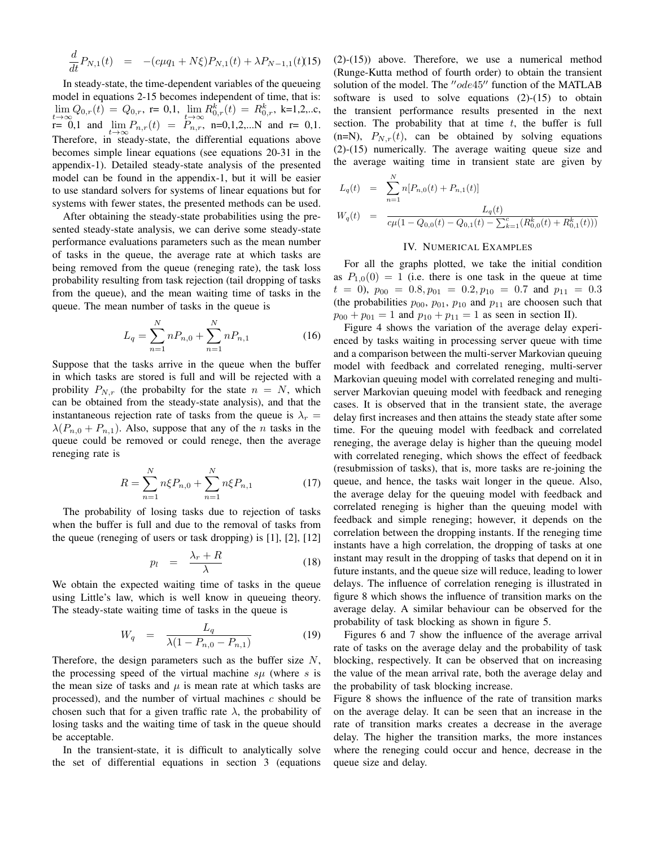$$
\frac{d}{dt}P_{N,1}(t) = -(c\mu q_1 + N\xi)P_{N,1}(t) + \lambda P_{N-1,1}(t)
$$
 (15)

In steady-state, the time-dependent variables of the queueing model in equations 2-15 becomes independent of time, that is:  $\lim_{t\to\infty} Q_{0,r}(t) = Q_{0,r}$ , r= 0,1,  $\lim_{t\to\infty} R_{0,r}^k(t) = R_{0,r}^k$ , k=1,2,..c,  $r= 0,1$  and  $\lim_{t\to\infty} P_{n,r}(t) = P_{n,r}$ , n=0,1,2,...N and r= 0,1. Therefore, in steady-state, the differential equations above becomes simple linear equations (see equations 20-31 in the appendix-1). Detailed steady-state analysis of the presented model can be found in the appendix-1, but it will be easier to use standard solvers for systems of linear equations but for systems with fewer states, the presented methods can be used.

After obtaining the steady-state probabilities using the presented steady-state analysis, we can derive some steady-state performance evaluations parameters such as the mean number of tasks in the queue, the average rate at which tasks are being removed from the queue (reneging rate), the task loss probability resulting from task rejection (tail dropping of tasks from the queue), and the mean waiting time of tasks in the queue. The mean number of tasks in the queue is

$$
L_q = \sum_{n=1}^{N} n P_{n,0} + \sum_{n=1}^{N} n P_{n,1}
$$
 (16)

Suppose that the tasks arrive in the queue when the buffer in which tasks are stored is full and will be rejected with a probility  $P_{N,r}$  (the probabilty for the state  $n = N$ , which can be obtained from the steady-state analysis), and that the instantaneous rejection rate of tasks from the queue is  $\lambda_r =$  $\lambda(P_{n,0} + P_{n,1})$ . Also, suppose that any of the *n* tasks in the queue could be removed or could renege, then the average reneging rate is

$$
R = \sum_{n=1}^{N} n\xi P_{n,0} + \sum_{n=1}^{N} n\xi P_{n,1}
$$
 (17)

The probability of losing tasks due to rejection of tasks when the buffer is full and due to the removal of tasks from the queue (reneging of users or task dropping) is [1], [2], [12]

$$
p_l = \frac{\lambda_r + R}{\lambda} \tag{18}
$$

We obtain the expected waiting time of tasks in the queue using Little's law, which is well know in queueing theory. The steady-state waiting time of tasks in the queue is

$$
W_q = \frac{L_q}{\lambda(1 - P_{n,0} - P_{n,1})}
$$
(19)

Therefore, the design parameters such as the buffer size  $N$ , the processing speed of the virtual machine  $s\mu$  (where s is the mean size of tasks and  $\mu$  is mean rate at which tasks are processed), and the number of virtual machines  $c$  should be chosen such that for a given traffic rate  $\lambda$ , the probability of losing tasks and the waiting time of task in the queue should be acceptable.

In the transient-state, it is difficult to analytically solve the set of differential equations in section 3 (equations

(2)-(15)) above. Therefore, we use a numerical method (Runge-Kutta method of fourth order) to obtain the transient solution of the model. The  $"ode45"$  function of the MATLAB software is used to solve equations  $(2)-(15)$  to obtain the transient performance results presented in the next section. The probability that at time  $t$ , the buffer is full  $(n=N)$ ,  $P_{N,r}(t)$ , can be obtained by solving equations (2)-(15) numerically. The average waiting queue size and the average waiting time in transient state are given by

$$
L_q(t) = \sum_{n=1}^{N} n[P_{n,0}(t) + P_{n,1}(t)]
$$
  
\n
$$
W_q(t) = \frac{L_q(t)}{c\mu(1 - Q_{0,0}(t) - Q_{0,1}(t) - \sum_{k=1}^{c} (R_{0,0}^k(t) + R_{0,1}^k(t)))}
$$

# IV. NUMERICAL EXAMPLES

For all the graphs plotted, we take the initial condition as  $P_{1,0}(0) = 1$  (i.e. there is one task in the queue at time  $t = 0$ ,  $p_{00} = 0.8, p_{01} = 0.2, p_{10} = 0.7$  and  $p_{11} = 0.3$ (the probabilities  $p_{00}$ ,  $p_{01}$ ,  $p_{10}$  and  $p_{11}$  are choosen such that  $p_{00} + p_{01} = 1$  and  $p_{10} + p_{11} = 1$  as seen in section II).

Figure 4 shows the variation of the average delay experienced by tasks waiting in processing server queue with time and a comparison between the multi-server Markovian queuing model with feedback and correlated reneging, multi-server Markovian queuing model with correlated reneging and multiserver Markovian queuing model with feedback and reneging cases. It is observed that in the transient state, the average delay first increases and then attains the steady state after some time. For the queuing model with feedback and correlated reneging, the average delay is higher than the queuing model with correlated reneging, which shows the effect of feedback (resubmission of tasks), that is, more tasks are re-joining the queue, and hence, the tasks wait longer in the queue. Also, the average delay for the queuing model with feedback and correlated reneging is higher than the queuing model with feedback and simple reneging; however, it depends on the correlation between the dropping instants. If the reneging time instants have a high correlation, the dropping of tasks at one instant may result in the dropping of tasks that depend on it in future instants, and the queue size will reduce, leading to lower delays. The influence of correlation reneging is illustrated in figure 8 which shows the influence of transition marks on the average delay. A similar behaviour can be observed for the probability of task blocking as shown in figure 5.

Figures 6 and 7 show the influence of the average arrival rate of tasks on the average delay and the probability of task blocking, respectively. It can be observed that on increasing the value of the mean arrival rate, both the average delay and the probability of task blocking increase.

Figure 8 shows the influence of the rate of transition marks on the average delay. It can be seen that an increase in the rate of transition marks creates a decrease in the average delay. The higher the transition marks, the more instances where the reneging could occur and hence, decrease in the queue size and delay.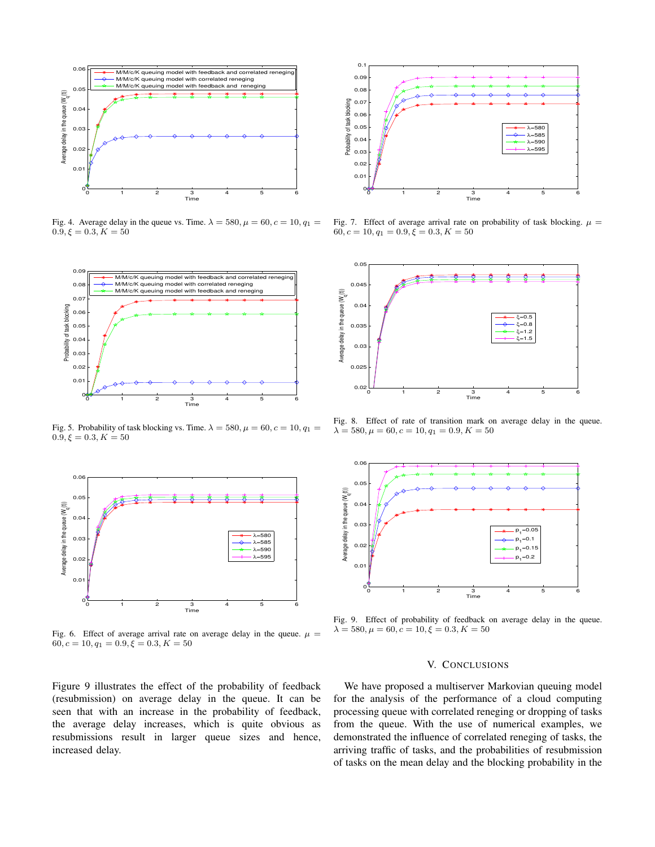

Fig. 4. Average delay in the queue vs. Time.  $\lambda = 580, \mu = 60, c = 10, q_1 =$  $0.\overline{9}, \xi = 0.3, K = 50$ 



Fig. 5. Probability of task blocking vs. Time.  $\lambda = 580, \mu = 60, c = 10, q_1 = 1$  $0.9, \xi = 0.3, K = 50$ 



Fig. 6. Effect of average arrival rate on average delay in the queue.  $\mu =$  $60, c = 10, q_1 = 0.9, \xi = 0.3, K = 50$ 

Figure 9 illustrates the effect of the probability of feedback (resubmission) on average delay in the queue. It can be seen that with an increase in the probability of feedback, the average delay increases, which is quite obvious as resubmissions result in larger queue sizes and hence, increased delay.



Fig. 7. Effect of average arrival rate on probability of task blocking.  $\mu =$  $60, c = 10, q_1 = 0.9, \xi = 0.3, K = 50$ 



Fig. 8. Effect of rate of transition mark on average delay in the queue.  $\lambda = 580, \mu = 60, c = 10, q_1 = 0.9, K = 50$ 



Fig. 9. Effect of probability of feedback on average delay in the queue.  $\lambda = 580, \mu = 60, c = 10, \xi = 0.3, K = 50$ 

# V. CONCLUSIONS

We have proposed a multiserver Markovian queuing model for the analysis of the performance of a cloud computing processing queue with correlated reneging or dropping of tasks from the queue. With the use of numerical examples, we demonstrated the influence of correlated reneging of tasks, the arriving traffic of tasks, and the probabilities of resubmission of tasks on the mean delay and the blocking probability in the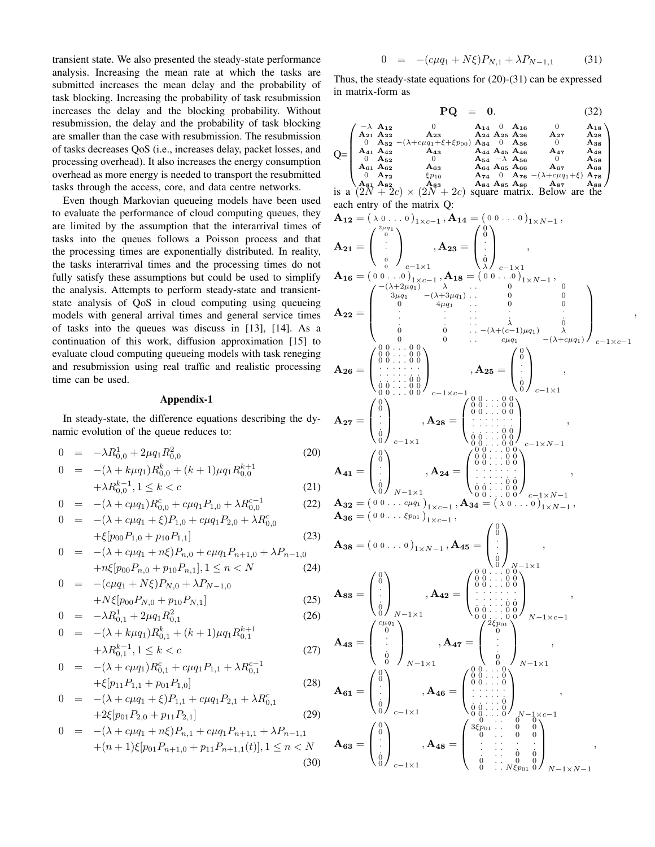transient state. We also presented the steady-state performance analysis. Increasing the mean rate at which the tasks are submitted increases the mean delay and the probability of task blocking. Increasing the probability of task resubmission increases the delay and the blocking probability. Without resubmission, the delay and the probability of task blocking are smaller than the case with resubmission. The resubmission of tasks decreases QoS (i.e., increases delay, packet losses, and processing overhead). It also increases the energy consumption overhead as more energy is needed to transport the resubmitted tasks through the access, core, and data centre networks.

Even though Markovian queueing models have been used to evaluate the performance of cloud computing queues, they are limited by the assumption that the interarrival times of tasks into the queues follows a Poisson process and that the processing times are exponentially distributed. In reality, the tasks interarrival times and the processing times do not fully satisfy these assumptions but could be used to simplify the analysis. Attempts to perform steady-state and transientstate analysis of QoS in cloud computing using queueing models with general arrival times and general service times of tasks into the queues was discuss in [13], [14]. As a continuation of this work, diffusion approximation [15] to evaluate cloud computing queueing models with task reneging and resubmission using real traffic and realistic processing time can be used.

## Appendix-1

In steady-state, the difference equations describing the dynamic evolution of the queue reduces to:

$$
0 = -\lambda R_{0,0}^1 + 2\mu q_1 R_{0,0}^2 \tag{20}
$$

$$
0 = -(\lambda + k\mu q_1)R_{0,0}^k + (k+1)\mu q_1 R_{0,0}^{k+1} + \lambda R_{0,0}^{k-1}, 1 \le k < c
$$
 (21)

$$
0 = -(\lambda + c\mu q_1)R_{0,0}^c + c\mu q_1 P_{1,0} + \lambda R_{0,0}^{c-1}
$$
 (22)

$$
0 = -(\lambda + c\mu q_1 + \xi)P_{1,0} + c\mu q_1 P_{2,0} + \lambda R_{0,0}^c
$$
  
+ $\xi[p_{00}P_{1,0} + p_{10}P_{1,1}]$  (23)

$$
0 = -(\lambda + c\mu q_1 + n\xi)P_{n,0} + c\mu q_1 P_{n+1,0} + \lambda P_{n-1,0}
$$
  
+ $n\xi[p_{00}P_{n,0} + p_{10}P_{n,1}], 1 \le n < N$  (24)

$$
0 = -(c\mu q_1 + N\xi)P_{N,0} + \lambda P_{N-1,0}
$$
  
+  $N\xi$ [ $p_{00}P_{N,0} + p_{10}P_{N,1}$ ] (25)

$$
+i\gamma\zeta[p_{00}r_{N,0} + p_{10}r_{N,1}]
$$
\n
$$
0 = -\lambda R_{0,1}^1 + 2\mu q_1 R_{0,1}^2
$$
\n(26)

$$
0 = -(\lambda + k\mu q_1)R_{0,1}^k + (k+1)\mu q_1 R_{0,1}^{k+1}
$$

$$
+ \lambda R_{0,1}^{k-1}, 1 \le k < c
$$
  
\n
$$
0 = -(\lambda + c\mu q_1)R_{0,1}^c + c\mu q_1 P_{1,1} + \lambda R_{0,1}^{c-1}
$$
\n(27)

$$
+ \xi[p_{11}P_{1,1} + p_{01}P_{1,0}]
$$
\n
$$
0 = -(\lambda + c\mu q_1 + \xi)P_{1,1} + c\mu q_1 P_{2,1} + \lambda R_{0,1}^c
$$
\n
$$
+ 2\xi[p_{01}P_{2,0} + p_{11}P_{2,1}]
$$
\n(29)

$$
0 = -(\lambda + c\mu q_1 + n\xi)P_{n,1} + c\mu q_1 P_{n+1,1} + \lambda P_{n-1,1}
$$
  
 
$$
+ (n+1)\xi[p_{01}P_{n+1,0} + p_{11}P_{n+1,1}(t)], 1 \le n < N
$$
 (30)

$$
0 = -(c\mu q_1 + N\xi)P_{N,1} + \lambda P_{N-1,1} \tag{31}
$$

Thus, the steady-state equations for (20)-(31) can be expressed in matrix-form as

$$
\mathbf{PQ} = \mathbf{0}.\tag{32}
$$

,

$$
Q\text{=}\left(\begin{smallmatrix}-\lambda & \mathbf{A}_{12} & 0 & \mathbf{A}_{14} & 0 & \mathbf{A}_{16} & 0 & \mathbf{A}_{18} \\ \mathbf{A}_{21} & \mathbf{A}_{22} & \mathbf{A}_{23} & \mathbf{A}_{24} & \mathbf{A}_{25} & \mathbf{A}_{26} & \mathbf{A}_{27} & \mathbf{A}_{28} \\ 0 & \mathbf{A}_{33} & -(\lambda + c\mu q_1 + \xi + \xi p_{00}) & \mathbf{A}_{34} & 0 & \mathbf{A}_{38} & 0 \\ \mathbf{A}_{41} & \mathbf{A}_{42} & \mathbf{A}_{43} & \mathbf{A}_{44} & \mathbf{A}_{45} & \mathbf{A}_{46} & \mathbf{A}_{47} & \mathbf{A}_{48} \\ 0 & \mathbf{A}_{52} & 0 & \mathbf{A}_{54} & -\lambda & \mathbf{A}_{56} & 0 & \mathbf{A}_{58} \\ \mathbf{A}_{61} & \mathbf{A}_{62} & \mathbf{A}_{63} & \mathbf{A}_{64} & \mathbf{A}_{65} & \mathbf{A}_{66} & \mathbf{A}_{67} & \mathbf{A}_{68} \\ 0 & \mathbf{A}_{72} & \xi p_{10} & \mathbf{A}_{74} & 0 & \mathbf{A}_{76} & -(\lambda + c\mu q_1 + \xi) & \mathbf{A}_{78} \\ \mathbf{A}_{81} & \mathbf{A}_{82} & \xi p_{10} & \mathbf{A}_{74} & \mathbf{A}_{85} & \mathbf{A}_{86} & \mathbf{A}_{87} & \mathbf{A}_{88} \\ 0 & \mathbf{A}_{72} & \mathbf{A}_{83} & \mathbf{A}_{84} & \mathbf{A}_{85} & \mathbf{A}_{86} & \mathbf{A}_{87} & \mathbf{A}_{88} \\ \mathbf{A}_{81} & \mathbf{A}_{82} & \mathbf{A}_{83} & \mathbf{A}_{84} & \mathbf{A}_{85} & \mathbf{A}_{86} & \mathbf{A}_{87} & \mathbf{A}_{88} \\ \end{smallmatrix}\right)
$$

each entry of the matrix Q:  
\n
$$
\mathbf{A}_{12} = (\lambda_0 \ldots 0)_{1 \times c-1}, \mathbf{A}_{14} = (0 \ 0 \ldots 0)_{1 \times N-1},
$$
  
\n $\mathbf{A}_{21} = \begin{pmatrix} 2a_{01} & 0 & 0 & 0 & 0 \\ 0 & 0 & 0 & 0 & 0 & 0 \\ 0 & 0 & 0 & 0 & 0 & 0 \\ 0 & 0 & 0 & 0 & 0 & 0 \\ 0 & 0 & 0 & 0 & 0 & 0 \\ 0 & 0 & 0 & 0 & 0 & 0 \\ 0 & 0 & 0 & 0 & 0 & 0 \\ 0 & 0 & 0 & 0 & 0 & 0 \\ 0 & 0 & 0 & 0 & 0 & 0 \\ 0 & 0 & 0 & 0 & 0 & 0 \\ 0 & 0 & 0 & 0 & 0 & 0 \\ 0 & 0 & 0 & 0 & 0 & 0 \\ 0 & 0 & 0 & 0 & 0 & 0 \\ 0 & 0 & 0 & 0 & 0 & 0 \\ 0 & 0 & 0 & 0 & 0 & 0 \\ 0 & 0 & 0 & 0 & 0 & 0 \\ 0 & 0 & 0 & 0 & 0 & 0 \\ 0 & 0 & 0 & 0 & 0 & 0 \\ 0 & 0 & 0 & 0 & 0 & 0 \\ 0 & 0 & 0 & 0 & 0 & 0 \\ 0 & 0 & 0 & 0 & 0 & 0 \\ 0 & 0 & 0 & 0 & 0 & 0 \\ 0 & 0 & 0 & 0 & 0 & 0 \\ 0 & 0 & 0 & 0 & 0 & 0 \\ 0 & 0 & 0 & 0 & 0 & 0 \\ 0 & 0 & 0 & 0 & 0 & 0 \\ 0 & 0 & 0 & 0 & 0 & 0 \\ 0 & 0 & 0 & 0 & 0 & 0 \\ 0 & 0 & 0 & 0 & 0 & 0 \\ 0 & 0 & 0 & 0 & 0 & 0 \\ 0 & 0 & 0 & 0 & 0 & 0 \\ 0 & 0 & 0 & 0 & 0 & 0 \\ 0 & 0 & 0 & 0 & 0 & 0 \\ 0 & 0 & 0 & 0 & 0 & 0 \\ 0 & 0 & 0 & 0 & 0 & 0 \\ 0 & 0 & 0 & 0 & 0 & 0 \\ 0 & 0 & 0 & 0 & 0 & 0 \\ 0 &$ 

 $N-1\times N-1$ 

 $c-1\times1$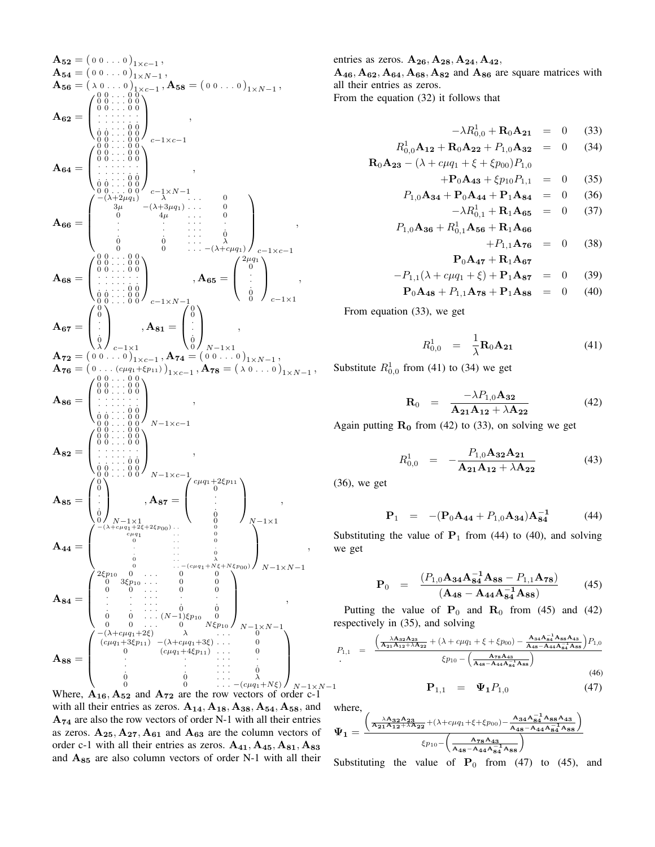A<sup>52</sup> = ( 0 0 . . . <sup>0</sup> ) 1×c−1 , A<sup>54</sup> = ( 0 0 . . . <sup>0</sup> ) 1×N−1 , A<sup>56</sup> = ( <sup>λ</sup> <sup>0</sup> . . . <sup>0</sup> ) 1×c−1 , A<sup>58</sup> = ( 0 0 . . . <sup>0</sup> ) 1×N−1 , A<sup>62</sup> = 0 0 . . . 0 0 0 0 . . . 0 0 0 0 . . . 0 0 . . . . . . . . . . . . . . . . . . . 0 0 0 0 . . . 0 0 0 0 . . . 0 0 c−1×c−1 , A<sup>64</sup> = 0 0 . . . 0 0 0 0 . . . 0 0 0 0 . . . 0 0 . . . . . . . . . . . . . . . . . . . 0 0 0 0 . . . 0 0 0 0 . . . 0 0 c−1×N−1 , A<sup>66</sup> = −(λ+2µq1) λ . . . 0 3µ −(λ+3µq1) . . . 0 0 4µ . . . 0 . . . . . . . . . . . . . . . . . 0 0 0 . . . λ 0 0 . . . −(λ+cµq1) c−1×c−1 , A<sup>68</sup> = 0 0 . . . 0 0 0 0 . . . 0 0 0 0 . . . 0 0 . . . . . . . . . . . . . . . . . . . 0 0 0 0 . . . 0 0 0 0 . . . 0 0 c−1×N−1 , A<sup>65</sup> = 2µq<sup>1</sup> 0 . . . 0 0 c−1×1 , A<sup>67</sup> = 0 0 . . . 0 λ c−1×1 , A<sup>81</sup> = 0 0 . . . 0 0 N−1×1 , A<sup>72</sup> = ( 0 0 . . . <sup>0</sup> ) 1×c−1 , A<sup>74</sup> = ( 0 0 . . . <sup>0</sup> ) 1×N−1 , A<sup>76</sup> = ( <sup>0</sup> . . . (cµq1+ξp11) ) 1×c−1 , A<sup>78</sup> = ( <sup>λ</sup> <sup>0</sup> . . . <sup>0</sup> ) 1×N−1 , A<sup>86</sup> = 0 0 . . . 0 0 0 0 . . . 0 0 0 0 . . . 0 0 . . . . . . . . . . . . . . . . . . . 0 0 0 0 . . . 0 0 0 0 . . . 0 0 N−1×c−1 , A<sup>82</sup> = 0 0 . . . 0 0 0 0 . . . 0 0 0 0 . . . 0 0 . . . . . . . . . . . . . . . . . . . 0 0 0 0 . . . 0 0 0 0 . . . 0 0 N−1×c−1 , A<sup>85</sup> = 0 0 . . . 0 0 N−1×1 , A<sup>87</sup> = cµq1+2ξp<sup>11</sup> 0 . . . 0 0 N−1×1 , A<sup>44</sup> = −(λ+cµq1+2ξ+2ξp00) . . 0 cµq1 . . 0 0 . . 0 . . . . . . . 0 0 . . λ 0 . . −(cµq1+Nξ+Nξp00) N−1×N−1 , A<sup>84</sup> = 2ξp<sup>10</sup> 0 . . . 0 0 0 3ξp<sup>10</sup> . . . 0 0 0 0 . . . 0 0 . . . . . . . . . . . . . . . . . . . 0 0 0 0 . . . (N−1)ξp<sup>10</sup> 0 0 0 . . . 0 N ξp<sup>10</sup> N−1×N−1 , A<sup>88</sup> = −(λ+cµq1+2ξ) λ . . . 0 (cµq1+3ξp11) −(λ+cµq1+3ξ) . . . 0 0 (cµq1+4ξp11) . . . 0 . . . . . . . . . . . . . . . . . 0 

Where,  $\mathbf{A}_{16}$ ,  $\mathbf{A}_{52}$  and  $\mathbf{A}_{72}$  are the row vectors of order c-1 with all their entries as zeros.  $A_{14}$ ,  $A_{18}$ ,  $A_{38}$ ,  $A_{54}$ ,  $A_{58}$ , and  $A_{74}$  are also the row vectors of order N-1 with all their entries as zeros.  $A_{25}$ ,  $A_{27}$ ,  $A_{61}$  and  $A_{63}$  are the column vectors of order c-1 with all their entries as zeros.  $A_{41}$ ,  $A_{45}$ ,  $A_{81}$ ,  $A_{83}$ and A<sup>85</sup> are also column vectors of order N-1 with all their

entries as zeros.  $A_{26}, A_{28}, A_{24}, A_{42},$ 

 $A_{46}, A_{62}, A_{64}, A_{68}, A_{82}$  and  $A_{86}$  are square matrices with all their entries as zeros.<br>From the equation (32) if From the equation (32) it follows that

From the equation 
$$
(32)
$$
 it follows that

$$
-\lambda R_{0,0}^1 + \mathbf{R}_0 \mathbf{A}_{21} = 0 \quad (33)
$$

$$
R_{0,0}^{1} \mathbf{A}_{12} + \mathbf{R}_{0} \mathbf{A}_{22} + P_{1,0} \mathbf{A}_{32} = 0 \quad (34)
$$
  

$$
\mathbf{R}_{0} \mathbf{A}_{23} - (\lambda + c\mu q_{1} + \xi + \xi p_{00}) P_{1,0}
$$

$$
+{\bf P}_0{\bf A}_{43} + \xi p_{10}P_{1,1} = 0 \t (35)
$$

$$
P_{1,0}\mathbf{A}_{34} + \mathbf{P}_0\mathbf{A}_{44} + \mathbf{P}_1\mathbf{A}_{84} = 0 \quad (36)
$$

$$
-\lambda R_{0,1}^{1} + \mathbf{R}_{1}\mathbf{A}_{65} = 0
$$
 (37)  

$$
P_{1,0}\mathbf{A}_{36} + R_{0,1}^{1}\mathbf{A}_{56} + \mathbf{R}_{1}\mathbf{A}_{66}
$$
 (38)

$$
+P_{1,1}\mathbf{A}_{76} = 0 \t(38)
$$

$$
\mathbf{P}_0\mathbf{A}_{47} + \mathbf{R}_1\mathbf{A}_{67}
$$

$$
-P_{1,1}(\lambda + c\mu q_1 + \xi) + \mathbf{P}_1 \mathbf{A}_{87} = 0 \quad (39)
$$
  

$$
\mathbf{P}_0 \mathbf{A}_{48} + P_{1,1} \mathbf{A}_{78} + \mathbf{P}_1 \mathbf{A}_{88} = 0 \quad (40)
$$

From equation (33), we get

$$
R_{0,0}^1 = \frac{1}{\lambda} \mathbf{R}_0 \mathbf{A}_{21}
$$
 (41)

Substitute  $R_{0,0}^1$  from (41) to (34) we get

$$
\mathbf{R}_0 = \frac{-\lambda P_{1,0} \mathbf{A}_{32}}{\mathbf{A}_{21} \mathbf{A}_{12} + \lambda \mathbf{A}_{22}} \tag{42}
$$

Again putting  $R_0$  from (42) to (33), on solving we get

$$
R_{0,0}^1 = -\frac{P_{1,0}A_{32}A_{21}}{A_{21}A_{12} + \lambda A_{22}} \tag{43}
$$

(36), we get

$$
\mathbf{P}_1 = -(\mathbf{P}_0 \mathbf{A}_{44} + P_{1,0} \mathbf{A}_{34}) \mathbf{A}_{84}^{-1} \tag{44}
$$

Substituting the value of  $P_1$  from (44) to (40), and solving we get

$$
\mathbf{P}_0 = \frac{(P_{1,0}\mathbf{A}_{34}\mathbf{A}_{84}^{-1}\mathbf{A}_{88} - P_{1,1}\mathbf{A}_{78})}{(\mathbf{A}_{48} - \mathbf{A}_{44}\mathbf{A}_{84}^{-1}\mathbf{A}_{88})}
$$
(45)

Putting the value of  $P_0$  and  $R_0$  from (45) and (42) respectively in (35), and solving

$$
P_{1,1} = \frac{\left(\frac{\lambda A_{32} A_{23}}{A_{21} A_{12} + \lambda A_{22}} + (\lambda + c\mu q_1 + \xi + \xi p_{00}) - \frac{A_{34} A_{84}^{-1} A_{88} A_{43}}{A_{48} - A_{44} A_{84}^{-1} A_{88}}\right) P_{1,0}}{\xi p_{10} - \left(\frac{A_{78} A_{43}}{A_{48} - A_{44} A_{84}^{-1} A_{88}}\right)}
$$
(46)

$$
\mathbf{P}_{1,1} = \Psi_1 P_{1,0} \tag{47}
$$

where,

$$
\Psi_1=\frac{\left(\frac{\lambda A_{32}A_{23}}{A_{21}A_{12}+\lambda A_{22}}+(\lambda+c\mu q_1+\xi+\xi p_{00})-\frac{A_{34}A_{84}^{-1}A_{88}A_{43}}{A_{48}-A_{44}A_{84}^{-1}A_{88}}\right)}{\xi p_{10}-\left(\frac{A_{78}A_{43}}{A_{48}-A_{44}A_{84}^{-1}A_{88}}\right)}
$$

Substituting the value of  $P_0$  from (47) to (45), and